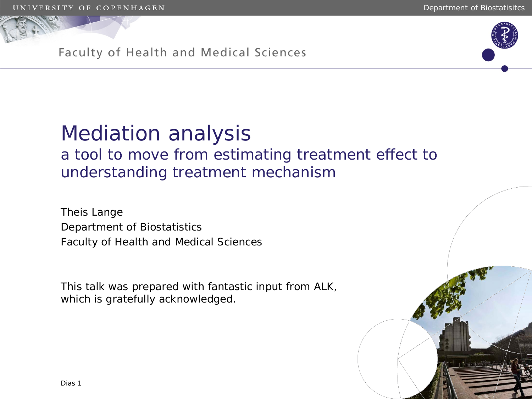

### Faculty of Health and Medical Sciences

## Mediation analysis a tool to move from estimating treatment effect to understanding treatment mechanism

Theis Lange Department of Biostatistics Faculty of Health and Medical Sciences

This talk was prepared with fantastic input from ALK, which is gratefully acknowledged.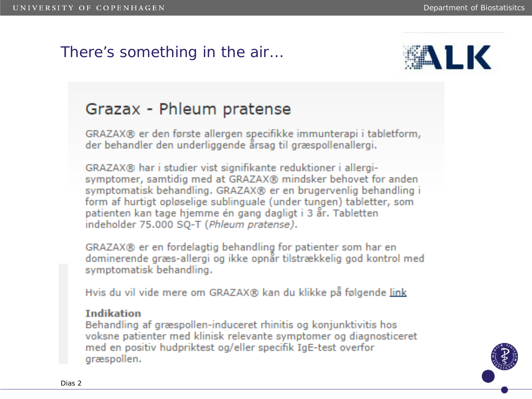## There's something in the air…



## Grazax - Phleum pratense

GRAZAX® er den første allergen specifikke immunterapi i tabletform, der behandler den underliggende årsag til græspollenallergi.

GRAZAX® har i studier vist signifikante reduktioner i allergisymptomer, samtidig med at GRAZAX® mindsker behovet for anden symptomatisk behandling. GRAZAX® er en brugervenlig behandling i form af hurtigt opløselige sublinguale (under tungen) tabletter, som patienten kan tage hjemme én gang dagligt i 3 år. Tabletten indeholder 75.000 SQ-T (Phleum pratense).

GRAZAX® er en fordelagtig behandling for patienter som har en dominerende græs-allergi og ikke opnår tilstrækkelig god kontrol med symptomatisk behandling.

Hvis du vil vide mere om GRAZAX® kan du klikke på følgende link

#### **Indikation**

Behandling af græspollen-induceret rhinitis og konjunktivitis hos voksne patienter med klinisk relevante symptomer og diagnosticeret med en positiv hudpriktest og/eller specifik IgE-test overfor græspollen.

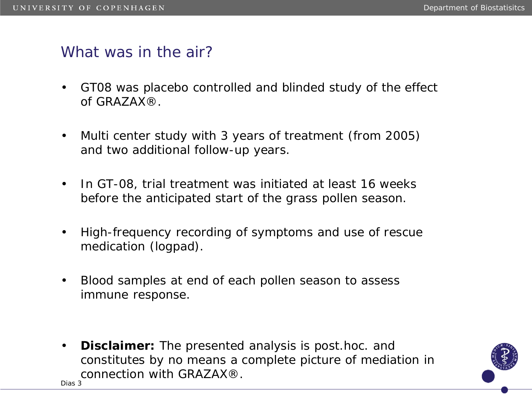### What was in the air?

- GT08 was placebo controlled and blinded study of the effect of GRAZAX®.
- Multi center study with 3 years of treatment (from 2005) and two additional follow-up years.
- In GT-08, trial treatment was initiated at least 16 weeks before the anticipated start of the grass pollen season.
- High-frequency recording of symptoms and use of rescue medication (logpad).
- Blood samples at end of each pollen season to assess immune response.
- **Disclaimer:** The presented analysis is post.hoc. and constitutes by no means a complete picture of mediation in connection with GRAZAX®. Dias 3

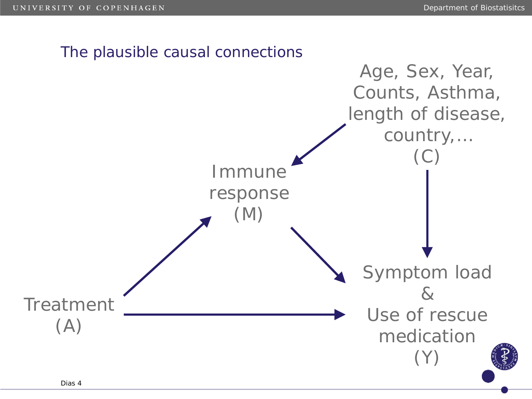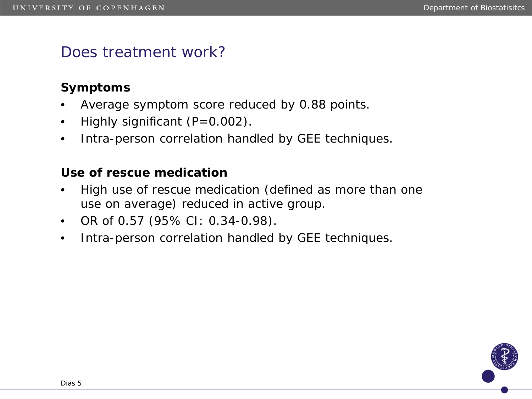## Does treatment work?

### **Symptoms**

- Average symptom score reduced by 0.88 points.
- Highly significant (P=0.002).
- Intra-person correlation handled by GEE techniques.

### **Use of rescue medication**

- High use of rescue medication (defined as more than one use on average) reduced in active group.
- OR of 0.57 (95% CI: 0.34-0.98).
- Intra-person correlation handled by GEE techniques.

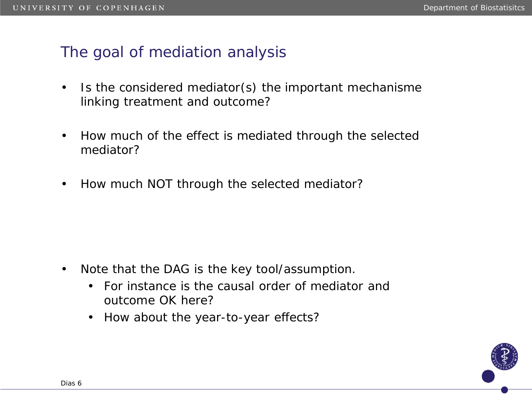## The goal of mediation analysis

- Is the considered mediator(s) the important mechanisme linking treatment and outcome?
- How much of the effect is mediated through the selected mediator?
- How much NOT through the selected mediator?

- Note that the DAG is the key tool/assumption.
	- For instance is the causal order of mediator and outcome OK here?
	- How about the year-to-year effects?

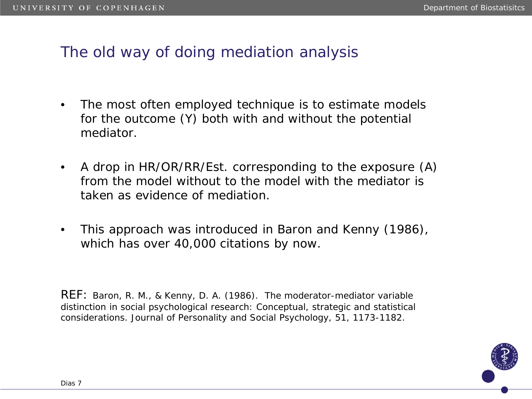## The old way of doing mediation analysis

- The most often employed technique is to estimate models for the outcome (*Y*) both with and without the potential mediator.
- A drop in HR/OR/RR/Est. corresponding to the exposure (*A*) from the model without to the model with the mediator is taken as evidence of mediation.
- This approach was introduced in Baron and Kenny (1986), which has over 40,000 citations by now.

REF: Baron, R. M., & Kenny, D. A. (1986). The moderator-mediator variable distinction in social psychological research: Conceptual, strategic and statistical considerations. Journal of Personality and Social Psychology, 51, 1173-1182.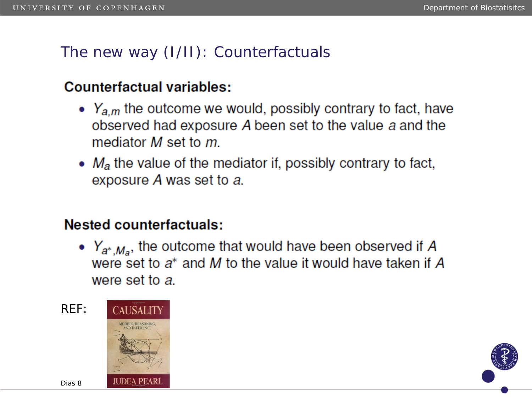## The new way (I/II): Counterfactuals

### Counterfactual variables:

- $Y_{a,m}$  the outcome we would, possibly contrary to fact, have observed had exposure A been set to the value a and the mediator M set to m.
- $M_a$  the value of the mediator if, possibly contrary to fact, exposure A was set to a.

### **Nested counterfactuals:**

•  $Y_{a^*,M_a}$ , the outcome that would have been observed if A were set to  $a^*$  and M to the value it would have taken if A were set to a.

REF:



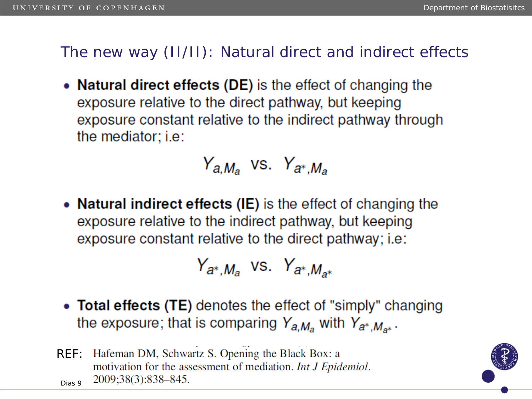## The new way (II/II): Natural direct and indirect effects

• Natural direct effects (DE) is the effect of changing the exposure relative to the direct pathway, but keeping exposure constant relative to the indirect pathway through the mediator: i.e:

# $Y_{a,M_a}$  vs.  $Y_{a^*,M_a}$

• Natural indirect effects (IE) is the effect of changing the exposure relative to the indirect pathway, but keeping exposure constant relative to the direct pathway; i.e:

$$
Y_{a^*,M_a} \text{ vs. } Y_{a^*,M_{a^*}}
$$

- Total effects (TE) denotes the effect of "simply" changing the exposure; that is comparing  $Y_{a,M_a}$  with  $Y_{a^*,M_{a^*}}$ .
- REF: Hafeman DM, Schwartz S. Opening the Black Box: a motivation for the assessment of mediation. Int J Epidemiol. 2009;38(3):838-845. Dias 9

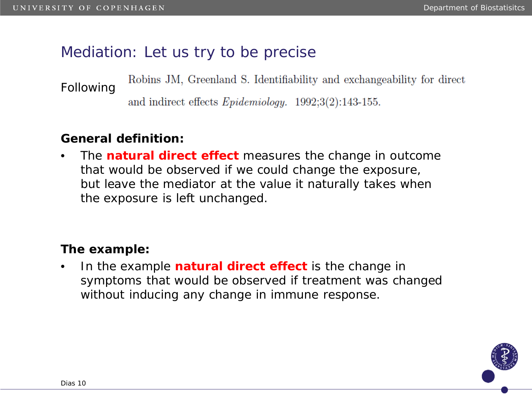## Mediation: Let us try to be precise

Robins JM, Greenland S. Identifiability and exchangeability for direct Following

and indirect effects  $Epidemiology.$  1992;3(2):143-155.

### **General definition:**

• The *natural direct effect* measures the change in outcome that would be observed if we could change the exposure, but leave the mediator at the value it naturally takes when the exposure is left unchanged.

### **The example:**

• In the example *natural direct effect* is the change in symptoms that would be observed if treatment was changed without inducing any change in immune response.

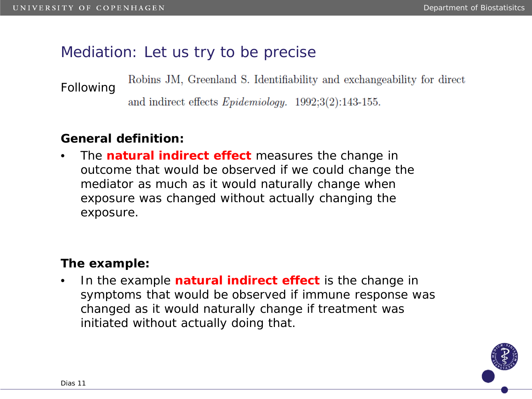## Mediation: Let us try to be precise

Robins JM, Greenland S. Identifiability and exchangeability for direct Following

and indirect effects  $Epidemiology.$  1992;3(2):143-155.

### **General definition:**

• The *natural indirect effect* measures the change in outcome that would be observed if we could change the mediator as much as it would naturally change when exposure was changed without actually changing the exposure.

### **The example:**

• In the example *natural indirect effect* is the change in symptoms that would be observed if immune response was changed as it would naturally change if treatment was initiated without actually doing that.

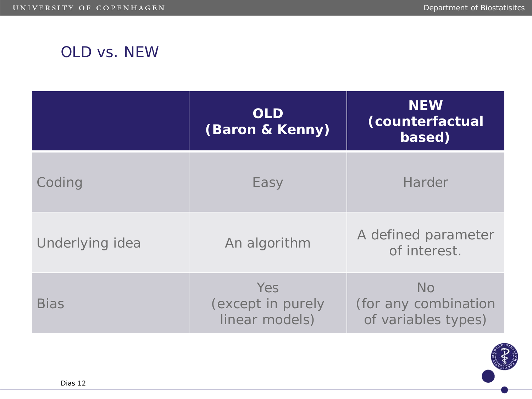## OLD vs. NEW

|                 | <b>OLD</b><br>(Baron & Kenny)              | <b>NEW</b><br>(counterfactual<br>based)                  |  |  |  |
|-----------------|--------------------------------------------|----------------------------------------------------------|--|--|--|
| Coding          | Easy                                       | <b>Harder</b>                                            |  |  |  |
| Underlying idea | An algorithm                               | A defined parameter<br>of interest.                      |  |  |  |
| <b>Bias</b>     | Yes<br>(except in purely<br>linear models) | <b>No</b><br>(for any combination<br>of variables types) |  |  |  |

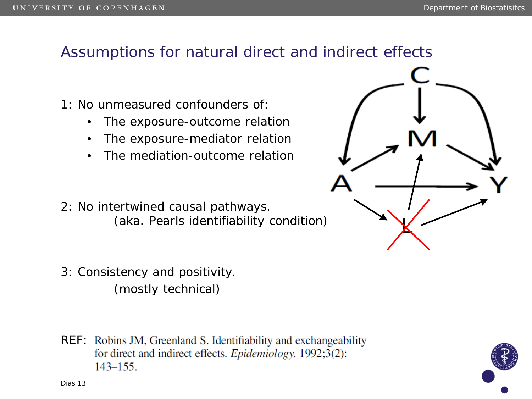## Assumptions for natural direct and indirect effects

- 1: No unmeasured confounders of:
	- The exposure-outcome relation
	- The exposure-mediator relation
	- The mediation-outcome relation
- 2: No intertwined causal pathways. (aka. Pearls identifiability condition)
- 3: Consistency and positivity. (mostly technical)
- REF: Robins JM, Greenland S. Identifiability and exchangeability for direct and indirect effects. *Epidemiology*. 1992;3(2):  $143 - 155$ .



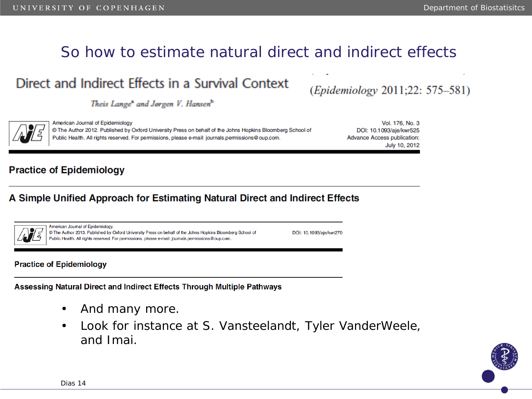## So how to estimate natural direct and indirect effects

## Direct and Indirect Effects in a Survival Context

Theis Lange<sup>x</sup> and Jørgen V. Hansen<sup>b</sup>

(Epidemiology 2011;22: 575–581)

American Journal of Epidemiology Vol. 176, No. 3 @ The Author 2012. Published by Oxford University Press on behalf of the Johns Hopkins Bloomberg School of DOI: 10.1093/aje/kwr525 Public Health. All rights reserved. For permissions, please e-mail: journals.permissions@oup.com. **Advance Access publication:** July 10, 2012

#### **Practice of Epidemiology**

#### A Simple Unified Approach for Estimating Natural Direct and Indirect Effects

|--|

American Journal of Epidemiology © The Author 2013. Published by Oxford University Press on behalf of the Johns Hopkins Bloomberg School of Public Health. All rights reserved. For permissions, please e-mail: journals.permissions@oup.com.

DOI: 10.1093/aje/kwt270

#### **Practice of Epidemiology**

Assessing Natural Direct and Indirect Effects Through Multiple Pathways

- And many more.
- Look for instance at S. Vansteelandt, Tyler VanderWeele, and Imai.

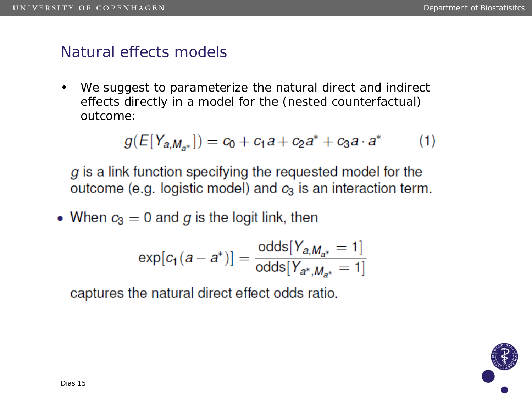### Natural effects models

We suggest to parameterize the natural direct and indirect effects directly in a model for the (nested counterfactual) outcome:

$$
g(E[Y_{a,M_{a^*}}]) = c_0 + c_1a + c_2a^* + c_3a \cdot a^* \qquad (1)
$$

 $g$  is a link function specifying the requested model for the outcome (e.g. logistic model) and  $c_3$  is an interaction term.

• When  $c_3 = 0$  and g is the logit link, then

$$
\exp[c_1(a-a^*)] = \frac{\text{odds}[Y_{a,M_{a^*}}=1]}{\text{odds}[Y_{a^*,M_{a^*}}=1]}
$$

captures the natural direct effect odds ratio.

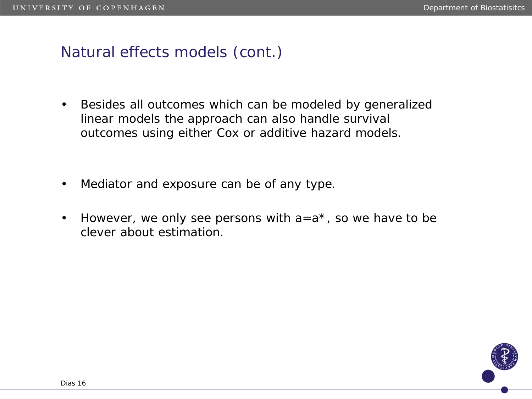## Natural effects models (cont.)

- Besides all outcomes which can be modeled by generalized linear models the approach can also handle survival outcomes using either Cox or additive hazard models.
- Mediator and exposure can be of any type.
- However, we only see persons with  $a=a^*$ , so we have to be clever about estimation.

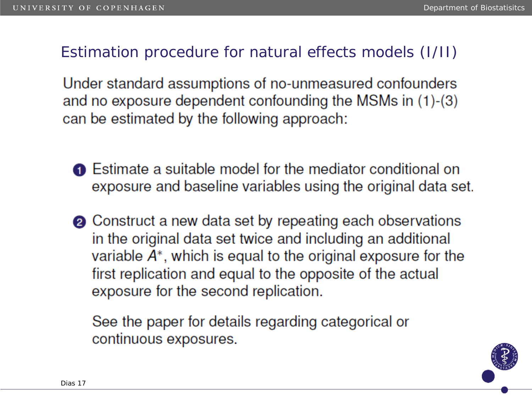## Estimation procedure for natural effects models (I/II)

Under standard assumptions of no-unmeasured confounders and no exposure dependent confounding the MSMs in (1)-(3) can be estimated by the following approach:

- **O** Estimate a suitable model for the mediator conditional on exposure and baseline variables using the original data set.
- **②** Construct a new data set by repeating each observations in the original data set twice and including an additional variable  $A^*$ , which is equal to the original exposure for the first replication and equal to the opposite of the actual exposure for the second replication.

See the paper for details regarding categorical or continuous exposures.

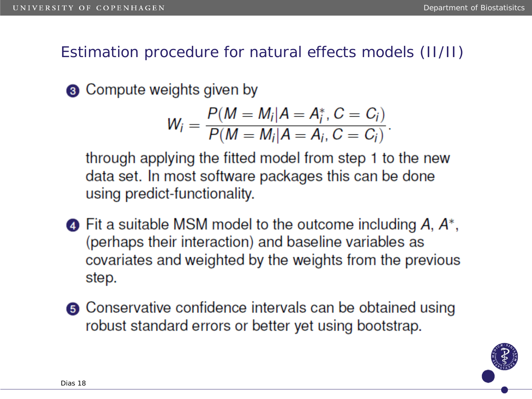Estimation procedure for natural effects models (II/II)

**8** Compute weights given by

$$
W_i = \frac{P(M = M_i | A = A_i^*, C = C_i)}{P(M = M_i | A = A_i, C = C_i)}.
$$

through applying the fitted model from step 1 to the new data set. In most software packages this can be done using predict-functionality.

- $\bullet$  Fit a suitable MSM model to the outcome including A,  $A^*$ , (perhaps their interaction) and baseline variables as covariates and weighted by the weights from the previous step.
- **6** Conservative confidence intervals can be obtained using robust standard errors or better yet using bootstrap.

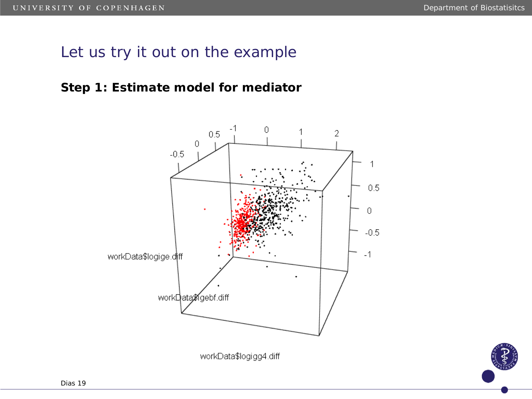### **Step 1: Estimate model for mediator**



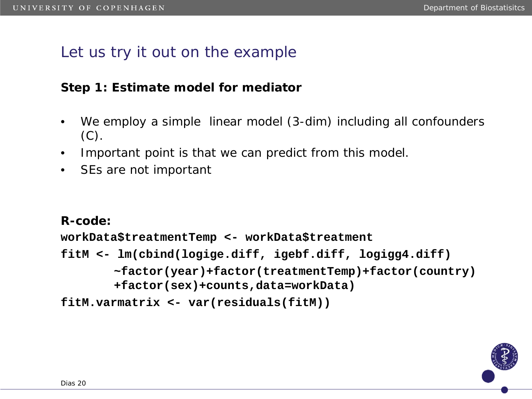### **Step 1: Estimate model for mediator**

- We employ a simple linear model (3-dim) including all confounders  $(C).$
- Important point is that we can predict from this model.
- SEs are not important

**R-code:**

**workData\$treatmentTemp <- workData\$treatment fitM <- lm(cbind(logige.diff, igebf.diff, logigg4.diff) ~factor(year)+factor(treatmentTemp)+factor(country) +factor(sex)+counts,data=workData) fitM.varmatrix <- var(residuals(fitM))**

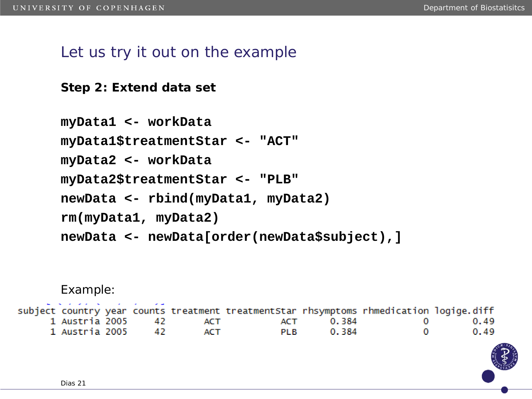**Step 2: Extend data set**

```
myData1 <- workData
myData1$treatmentStar <- "ACT"
myData2 <- workData
myData2$treatmentStar <- "PLB"
newData <- rbind(myData1, myData2)
rm(myData1, myData2)
newData <- newData[order(newData$subject),]
```
Example:

| .                      |  |            | subject country year counts treatment treatmentStar rhsymptoms rhmedication logige.diff |           |                               |      |
|------------------------|--|------------|-----------------------------------------------------------------------------------------|-----------|-------------------------------|------|
| 1 Austria 2005     42  |  | <b>ACT</b> |                                                                                         | ACT 0.384 | $\mathbf{O}$ and $\mathbf{O}$ | 0.49 |
| 1 Austria 2005      42 |  | ACT        | <b>PLB</b>                                                                              | 0.384     | $\Omega$                      | 0.49 |

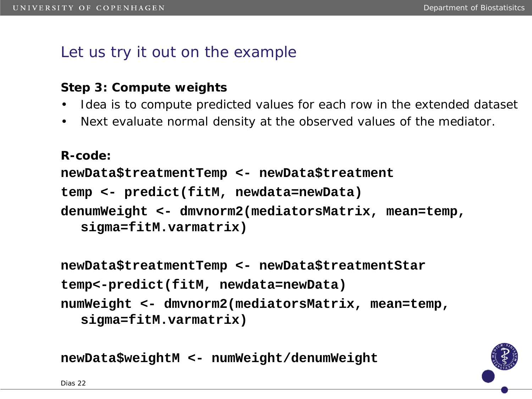### **Step 3: Compute weights**

- Idea is to compute predicted values for each row in the extended dataset
- Next evaluate normal density at the observed values of the mediator.

```
R-code:
newData$treatmentTemp <- newData$treatment
temp <- predict(fitM, newdata=newData)
denumWeight <- dmvnorm2(mediatorsMatrix, mean=temp, 
  sigma=fitM.varmatrix)
```

```
newData$treatmentTemp <- newData$treatmentStar
temp<-predict(fitM, newdata=newData)
numWeight <- dmvnorm2(mediatorsMatrix, mean=temp, 
  sigma=fitM.varmatrix)
```
**newData\$weightM <- numWeight/denumWeight**

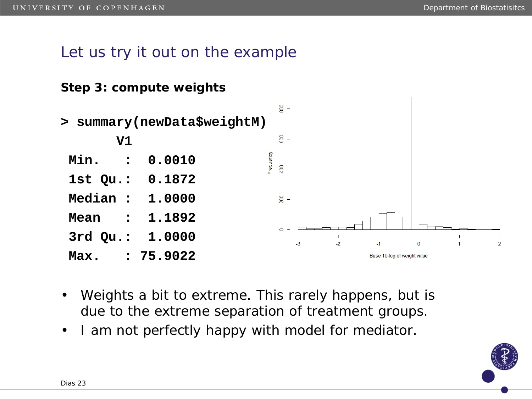### **Step 3: compute weights**



- Weights a bit to extreme. This rarely happens, but is due to the extreme separation of treatment groups.
- I am not perfectly happy with model for mediator.

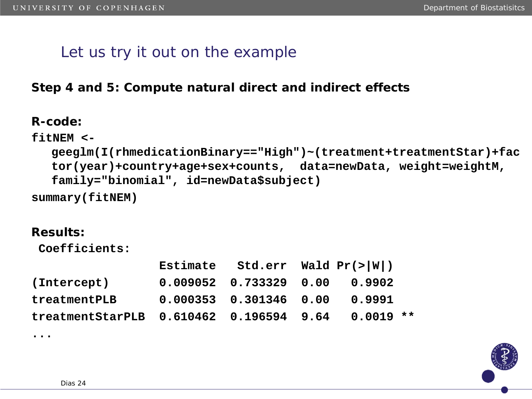**Step 4 and 5: Compute natural direct and indirect effects**

**R-code:**

```
fitNEM <-
  geeglm(I(rhmedicationBinary=="High")~(treatment+treatmentStar)+fac
  tor(year)+country+age+sex+counts, data=newData, weight=weightM, 
  family="binomial", id=newData$subject)
summary(fitNEM)
```
#### **Results:**

**...**

**Coefficients:**

|                                                       |                                 | Estimate Std.err Wald $Pr(>\vert W \vert)$ |  |  |  |
|-------------------------------------------------------|---------------------------------|--------------------------------------------|--|--|--|
| (Intercept)                                           | $0.009052$ 0.733329 0.00 0.9902 |                                            |  |  |  |
| treatmentPLB                                          | $0.000353$ $0.301346$ $0.00$    | 0.9991                                     |  |  |  |
| treatmentStarPLB  0.610462  0.196594  9.64  0.0019 ** |                                 |                                            |  |  |  |

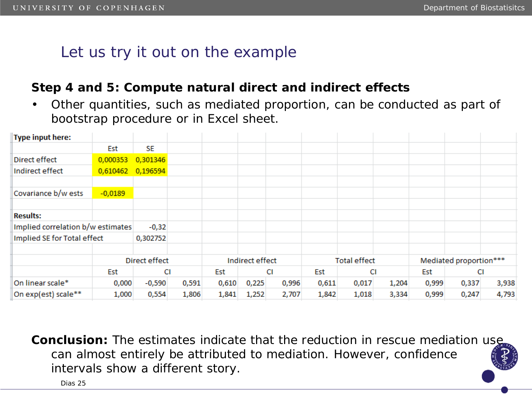### **Step 4 and 5: Compute natural direct and indirect effects**

• Other quantities, such as mediated proportion, can be conducted as part of bootstrap procedure or in Excel sheet.

| <b>Type input here:</b>     |                                              |               |       |                 |       |                     |       |                        |       |       |       |       |
|-----------------------------|----------------------------------------------|---------------|-------|-----------------|-------|---------------------|-------|------------------------|-------|-------|-------|-------|
|                             | Est                                          | SE            |       |                 |       |                     |       |                        |       |       |       |       |
| Direct effect               | 0,000353                                     | 0,301346      |       |                 |       |                     |       |                        |       |       |       |       |
| Indirect effect             | 0,610462                                     | 0,196594      |       |                 |       |                     |       |                        |       |       |       |       |
|                             |                                              |               |       |                 |       |                     |       |                        |       |       |       |       |
| Covariance b/w ests         | $-0,0189$                                    |               |       |                 |       |                     |       |                        |       |       |       |       |
|                             |                                              |               |       |                 |       |                     |       |                        |       |       |       |       |
| <b>Results:</b>             |                                              |               |       |                 |       |                     |       |                        |       |       |       |       |
|                             | Implied correlation b/w estimates<br>$-0,32$ |               |       |                 |       |                     |       |                        |       |       |       |       |
| Implied SE for Total effect |                                              | 0,302752      |       |                 |       |                     |       |                        |       |       |       |       |
|                             |                                              |               |       |                 |       |                     |       |                        |       |       |       |       |
|                             |                                              | Direct effect |       | Indirect effect |       | <b>Total effect</b> |       | Mediated proportion*** |       |       |       |       |
|                             | Est                                          | СI            |       | Est             | СI    |                     | Est   | СI                     |       | Est   | СI    |       |
| On linear scale*            | 0,000                                        | $-0,590$      | 0,591 | 0,610           | 0,225 | 0,996               | 0,611 | 0,017                  | 1,204 | 0,999 | 0,337 | 3,938 |
| On exp(est) scale**         | 1,000                                        | 0,554         | 1,806 | 1,841           | 1,252 | 2,707               | 1,842 | 1,018                  | 3,334 | 0,999 | 0,247 | 4,793 |

**Conclusion:** The estimates indicate that the reduction in rescue mediation use can almost entirely be attributed to mediation. However, confidence intervals show a different story.

Dias 25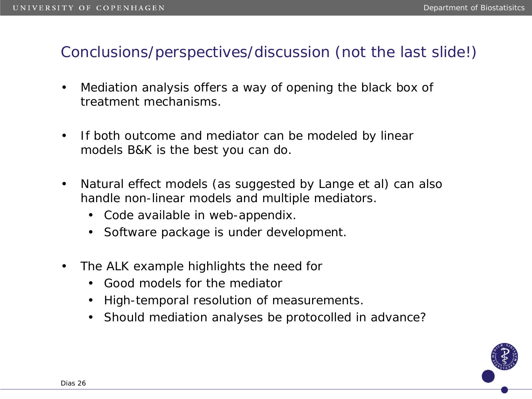### Conclusions/perspectives/discussion (not the last slide!)

- Mediation analysis offers a way of opening the black box of treatment mechanisms.
- If both outcome and mediator can be modeled by linear models B&K is the best you can do.
- Natural effect models (as suggested by Lange et al) can also handle non-linear models and multiple mediators.
	- Code available in web-appendix.
	- Software package is under development.
- The ALK example highlights the need for
	- Good models for the mediator
	- High-temporal resolution of measurements.
	- Should mediation analyses be protocolled in advance?

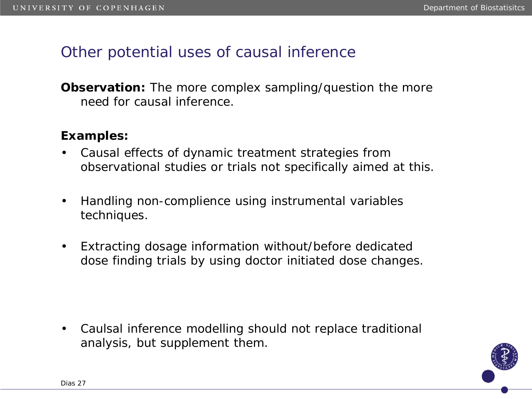### Other potential uses of causal inference

**Observation:** The more complex sampling/question the more need for causal inference.

#### **Examples:**

- Causal effects of dynamic treatment strategies from observational studies or trials not specifically aimed at this.
- Handling non-complience using instrumental variables techniques.
- Extracting dosage information without/before dedicated dose finding trials by using doctor initiated dose changes.

• Caulsal inference modelling should not replace traditional analysis, but supplement them.